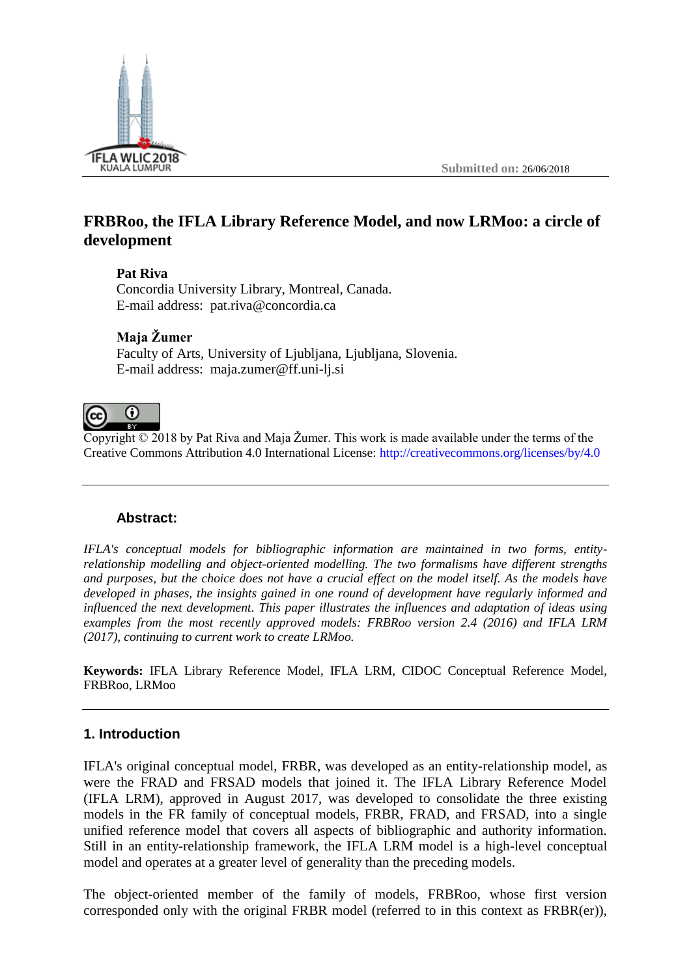

# **FRBRoo, the IFLA Library Reference Model, and now LRMoo: a circle of development**

#### **Pat Riva**

Concordia University Library, Montreal, Canada. E-mail address: pat.riva@concordia.ca

## **Maja Žumer**

Faculty of Arts, University of Ljubljana, Ljubljana, Slovenia. E-mail address: maja.zumer@ff.uni-lj.si

#### $\Omega$ (cc

Copyright  $\odot$  2018 by Pat Riva and Maja Žumer. This work is made available under the terms of the Creative Commons Attribution 4.0 International License:<http://creativecommons.org/licenses/by/4.0>

## **Abstract:**

*IFLA's conceptual models for bibliographic information are maintained in two forms, entityrelationship modelling and object-oriented modelling. The two formalisms have different strengths and purposes, but the choice does not have a crucial effect on the model itself. As the models have developed in phases, the insights gained in one round of development have regularly informed and influenced the next development. This paper illustrates the influences and adaptation of ideas using examples from the most recently approved models: FRBRoo version 2.4 (2016) and IFLA LRM (2017), continuing to current work to create LRMoo.*

**Keywords:** IFLA Library Reference Model, IFLA LRM, CIDOC Conceptual Reference Model, FRBRoo, LRMoo

## **1. Introduction**

IFLA's original conceptual model, FRBR, was developed as an entity-relationship model, as were the FRAD and FRSAD models that joined it. The IFLA Library Reference Model (IFLA LRM), approved in August 2017, was developed to consolidate the three existing models in the FR family of conceptual models, FRBR, FRAD, and FRSAD, into a single unified reference model that covers all aspects of bibliographic and authority information. Still in an entity-relationship framework, the IFLA LRM model is a high-level conceptual model and operates at a greater level of generality than the preceding models.

The object-oriented member of the family of models, FRBRoo, whose first version corresponded only with the original FRBR model (referred to in this context as FRBR(er)),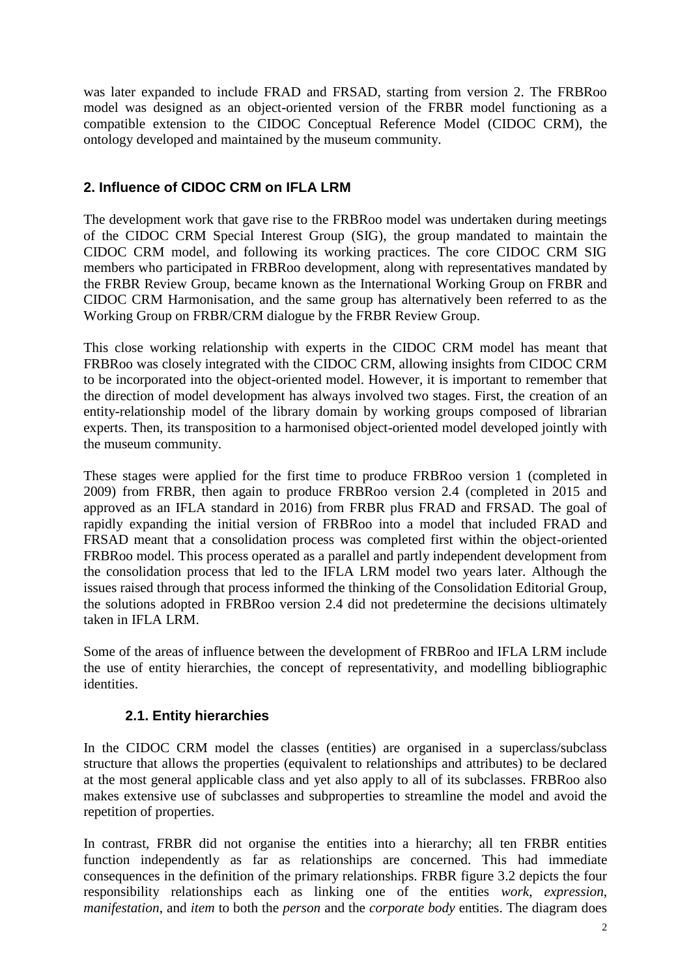was later expanded to include FRAD and FRSAD, starting from version 2. The FRBRoo model was designed as an object-oriented version of the FRBR model functioning as a compatible extension to the CIDOC Conceptual Reference Model (CIDOC CRM), the ontology developed and maintained by the museum community.

## **2. Influence of CIDOC CRM on IFLA LRM**

The development work that gave rise to the FRBRoo model was undertaken during meetings of the CIDOC CRM Special Interest Group (SIG), the group mandated to maintain the CIDOC CRM model, and following its working practices. The core CIDOC CRM SIG members who participated in FRBRoo development, along with representatives mandated by the FRBR Review Group, became known as the International Working Group on FRBR and CIDOC CRM Harmonisation, and the same group has alternatively been referred to as the Working Group on FRBR/CRM dialogue by the FRBR Review Group.

This close working relationship with experts in the CIDOC CRM model has meant that FRBRoo was closely integrated with the CIDOC CRM, allowing insights from CIDOC CRM to be incorporated into the object-oriented model. However, it is important to remember that the direction of model development has always involved two stages. First, the creation of an entity-relationship model of the library domain by working groups composed of librarian experts. Then, its transposition to a harmonised object-oriented model developed jointly with the museum community.

These stages were applied for the first time to produce FRBRoo version 1 (completed in 2009) from FRBR, then again to produce FRBRoo version 2.4 (completed in 2015 and approved as an IFLA standard in 2016) from FRBR plus FRAD and FRSAD. The goal of rapidly expanding the initial version of FRBRoo into a model that included FRAD and FRSAD meant that a consolidation process was completed first within the object-oriented FRBRoo model. This process operated as a parallel and partly independent development from the consolidation process that led to the IFLA LRM model two years later. Although the issues raised through that process informed the thinking of the Consolidation Editorial Group, the solutions adopted in FRBRoo version 2.4 did not predetermine the decisions ultimately taken in IFLA LRM.

Some of the areas of influence between the development of FRBRoo and IFLA LRM include the use of entity hierarchies, the concept of representativity, and modelling bibliographic identities.

## **2.1. Entity hierarchies**

In the CIDOC CRM model the classes (entities) are organised in a superclass/subclass structure that allows the properties (equivalent to relationships and attributes) to be declared at the most general applicable class and yet also apply to all of its subclasses. FRBRoo also makes extensive use of subclasses and subproperties to streamline the model and avoid the repetition of properties.

In contrast, FRBR did not organise the entities into a hierarchy; all ten FRBR entities function independently as far as relationships are concerned. This had immediate consequences in the definition of the primary relationships. FRBR figure 3.2 depicts the four responsibility relationships each as linking one of the entities *work*, *expression*, *manifestation*, and *item* to both the *person* and the *corporate body* entities. The diagram does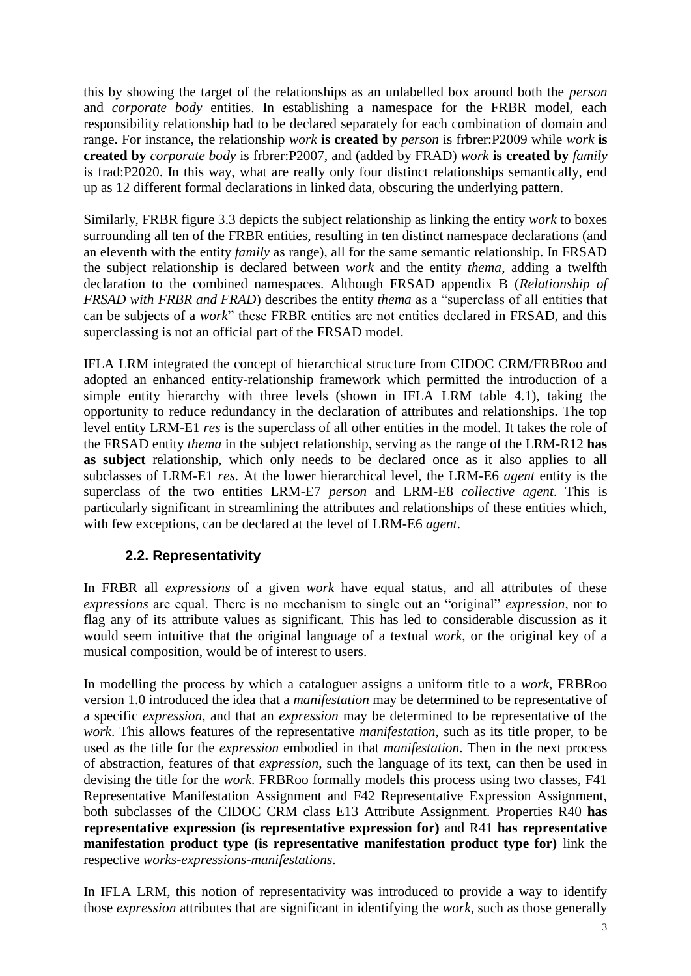this by showing the target of the relationships as an unlabelled box around both the *person* and *corporate body* entities. In establishing a namespace for the FRBR model, each responsibility relationship had to be declared separately for each combination of domain and range. For instance, the relationship *work* **is created by** *person* is frbrer:P2009 while *work* **is created by** *corporate body* is frbrer:P2007, and (added by FRAD) *work* **is created by** *family* is frad:P2020. In this way, what are really only four distinct relationships semantically, end up as 12 different formal declarations in linked data, obscuring the underlying pattern.

Similarly, FRBR figure 3.3 depicts the subject relationship as linking the entity *work* to boxes surrounding all ten of the FRBR entities, resulting in ten distinct namespace declarations (and an eleventh with the entity *family* as range), all for the same semantic relationship. In FRSAD the subject relationship is declared between *work* and the entity *thema*, adding a twelfth declaration to the combined namespaces. Although FRSAD appendix B (*Relationship of FRSAD with FRBR and FRAD*) describes the entity *thema* as a "superclass of all entities that can be subjects of a *work*" these FRBR entities are not entities declared in FRSAD, and this superclassing is not an official part of the FRSAD model.

IFLA LRM integrated the concept of hierarchical structure from CIDOC CRM/FRBRoo and adopted an enhanced entity-relationship framework which permitted the introduction of a simple entity hierarchy with three levels (shown in IFLA LRM table 4.1), taking the opportunity to reduce redundancy in the declaration of attributes and relationships. The top level entity LRM-E1 *res* is the superclass of all other entities in the model. It takes the role of the FRSAD entity *thema* in the subject relationship, serving as the range of the LRM-R12 **has as subject** relationship, which only needs to be declared once as it also applies to all subclasses of LRM-E1 *res*. At the lower hierarchical level, the LRM-E6 *agent* entity is the superclass of the two entities LRM-E7 *person* and LRM-E8 *collective agent*. This is particularly significant in streamlining the attributes and relationships of these entities which, with few exceptions, can be declared at the level of LRM-E6 *agent*.

## **2.2. Representativity**

In FRBR all *expressions* of a given *work* have equal status, and all attributes of these *expressions* are equal. There is no mechanism to single out an "original" *expression*, nor to flag any of its attribute values as significant. This has led to considerable discussion as it would seem intuitive that the original language of a textual *work*, or the original key of a musical composition, would be of interest to users.

In modelling the process by which a cataloguer assigns a uniform title to a *work*, FRBRoo version 1.0 introduced the idea that a *manifestation* may be determined to be representative of a specific *expression*, and that an *expression* may be determined to be representative of the *work*. This allows features of the representative *manifestation*, such as its title proper, to be used as the title for the *expression* embodied in that *manifestation*. Then in the next process of abstraction, features of that *expression*, such the language of its text, can then be used in devising the title for the *work*. FRBRoo formally models this process using two classes, F41 Representative Manifestation Assignment and F42 Representative Expression Assignment, both subclasses of the CIDOC CRM class E13 Attribute Assignment. Properties R40 **has representative expression (is representative expression for)** and R41 **has representative manifestation product type (is representative manifestation product type for)** link the respective *works*-*expressions*-*manifestations*.

In IFLA LRM, this notion of representativity was introduced to provide a way to identify those *expression* attributes that are significant in identifying the *work*, such as those generally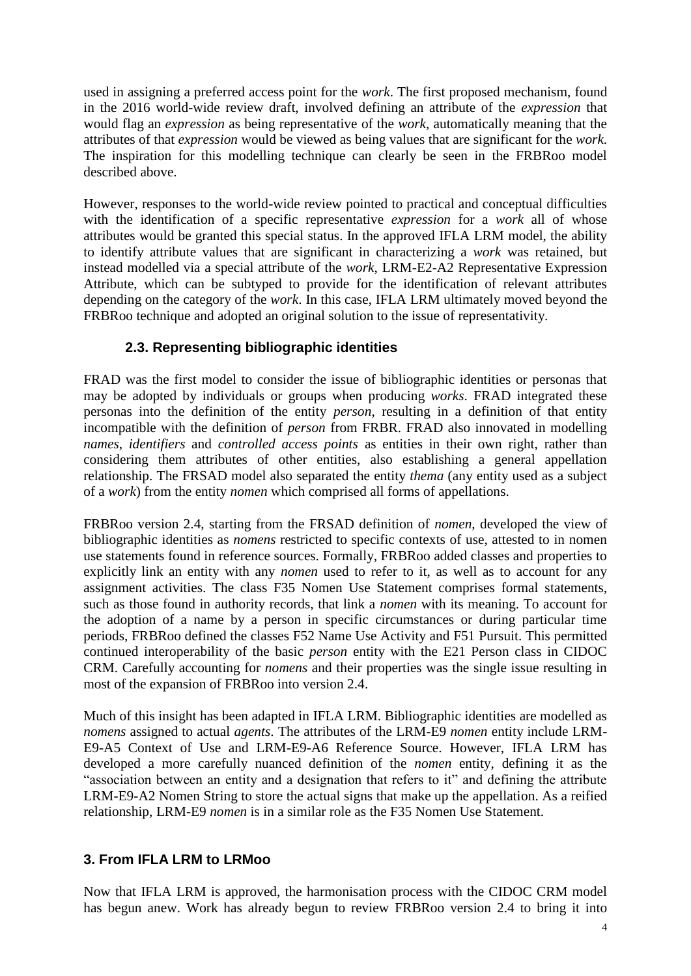used in assigning a preferred access point for the *work*. The first proposed mechanism, found in the 2016 world-wide review draft, involved defining an attribute of the *expression* that would flag an *expression* as being representative of the *work*, automatically meaning that the attributes of that *expression* would be viewed as being values that are significant for the *work*. The inspiration for this modelling technique can clearly be seen in the FRBRoo model described above.

However, responses to the world-wide review pointed to practical and conceptual difficulties with the identification of a specific representative *expression* for a *work* all of whose attributes would be granted this special status. In the approved IFLA LRM model, the ability to identify attribute values that are significant in characterizing a *work* was retained, but instead modelled via a special attribute of the *work*, LRM-E2-A2 Representative Expression Attribute, which can be subtyped to provide for the identification of relevant attributes depending on the category of the *work*. In this case, IFLA LRM ultimately moved beyond the FRBRoo technique and adopted an original solution to the issue of representativity.

## **2.3. Representing bibliographic identities**

FRAD was the first model to consider the issue of bibliographic identities or personas that may be adopted by individuals or groups when producing *works*. FRAD integrated these personas into the definition of the entity *person*, resulting in a definition of that entity incompatible with the definition of *person* from FRBR. FRAD also innovated in modelling *names*, *identifiers* and *controlled access points* as entities in their own right, rather than considering them attributes of other entities, also establishing a general appellation relationship. The FRSAD model also separated the entity *thema* (any entity used as a subject of a *work*) from the entity *nomen* which comprised all forms of appellations.

FRBRoo version 2.4, starting from the FRSAD definition of *nomen*, developed the view of bibliographic identities as *nomens* restricted to specific contexts of use, attested to in nomen use statements found in reference sources. Formally, FRBRoo added classes and properties to explicitly link an entity with any *nomen* used to refer to it, as well as to account for any assignment activities. The class F35 Nomen Use Statement comprises formal statements, such as those found in authority records, that link a *nomen* with its meaning. To account for the adoption of a name by a person in specific circumstances or during particular time periods, FRBRoo defined the classes F52 Name Use Activity and F51 Pursuit. This permitted continued interoperability of the basic *person* entity with the E21 Person class in CIDOC CRM. Carefully accounting for *nomens* and their properties was the single issue resulting in most of the expansion of FRBRoo into version 2.4.

Much of this insight has been adapted in IFLA LRM. Bibliographic identities are modelled as *nomens* assigned to actual *agents*. The attributes of the LRM-E9 *nomen* entity include LRM-E9-A5 Context of Use and LRM-E9-A6 Reference Source. However, IFLA LRM has developed a more carefully nuanced definition of the *nomen* entity, defining it as the "association between an entity and a designation that refers to it" and defining the attribute LRM-E9-A2 Nomen String to store the actual signs that make up the appellation. As a reified relationship, LRM-E9 *nomen* is in a similar role as the F35 Nomen Use Statement.

## **3. From IFLA LRM to LRMoo**

Now that IFLA LRM is approved, the harmonisation process with the CIDOC CRM model has begun anew. Work has already begun to review FRBRoo version 2.4 to bring it into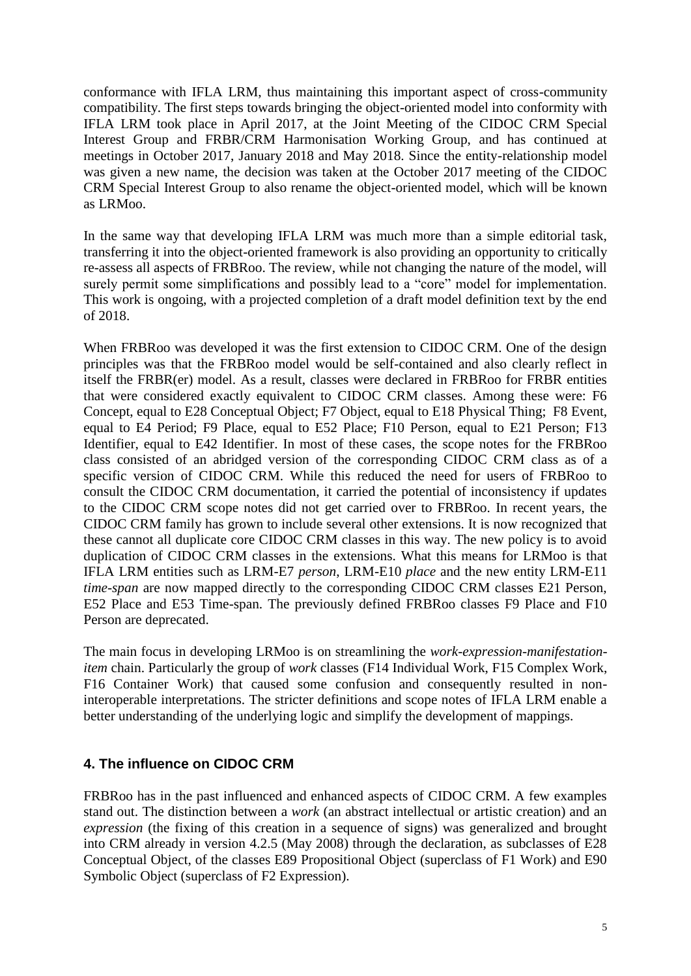conformance with IFLA LRM, thus maintaining this important aspect of cross-community compatibility. The first steps towards bringing the object-oriented model into conformity with IFLA LRM took place in April 2017, at the Joint Meeting of the CIDOC CRM Special Interest Group and FRBR/CRM Harmonisation Working Group, and has continued at meetings in October 2017, January 2018 and May 2018. Since the entity-relationship model was given a new name, the decision was taken at the October 2017 meeting of the CIDOC CRM Special Interest Group to also rename the object-oriented model, which will be known as LRMoo.

In the same way that developing IFLA LRM was much more than a simple editorial task, transferring it into the object-oriented framework is also providing an opportunity to critically re-assess all aspects of FRBRoo. The review, while not changing the nature of the model, will surely permit some simplifications and possibly lead to a "core" model for implementation. This work is ongoing, with a projected completion of a draft model definition text by the end of 2018.

When FRBRoo was developed it was the first extension to CIDOC CRM. One of the design principles was that the FRBRoo model would be self-contained and also clearly reflect in itself the FRBR(er) model. As a result, classes were declared in FRBRoo for FRBR entities that were considered exactly equivalent to CIDOC CRM classes. Among these were: F6 Concept, equal to E28 Conceptual Object; F7 Object, equal to E18 Physical Thing; F8 Event, equal to E4 Period; F9 Place, equal to E52 Place; F10 Person, equal to E21 Person; F13 Identifier, equal to E42 Identifier. In most of these cases, the scope notes for the FRBRoo class consisted of an abridged version of the corresponding CIDOC CRM class as of a specific version of CIDOC CRM. While this reduced the need for users of FRBRoo to consult the CIDOC CRM documentation, it carried the potential of inconsistency if updates to the CIDOC CRM scope notes did not get carried over to FRBRoo. In recent years, the CIDOC CRM family has grown to include several other extensions. It is now recognized that these cannot all duplicate core CIDOC CRM classes in this way. The new policy is to avoid duplication of CIDOC CRM classes in the extensions. What this means for LRMoo is that IFLA LRM entities such as LRM-E7 *person*, LRM-E10 *place* and the new entity LRM-E11 *time-span* are now mapped directly to the corresponding CIDOC CRM classes E21 Person, E52 Place and E53 Time-span. The previously defined FRBRoo classes F9 Place and F10 Person are deprecated.

The main focus in developing LRMoo is on streamlining the *work*-*expression*-*manifestationitem* chain. Particularly the group of *work* classes (F14 Individual Work, F15 Complex Work, F16 Container Work) that caused some confusion and consequently resulted in noninteroperable interpretations. The stricter definitions and scope notes of IFLA LRM enable a better understanding of the underlying logic and simplify the development of mappings.

## **4. The influence on CIDOC CRM**

FRBRoo has in the past influenced and enhanced aspects of CIDOC CRM. A few examples stand out. The distinction between a *work* (an abstract intellectual or artistic creation) and an *expression* (the fixing of this creation in a sequence of signs) was generalized and brought into CRM already in version 4.2.5 (May 2008) through the declaration, as subclasses of E28 Conceptual Object, of the classes E89 Propositional Object (superclass of F1 Work) and E90 Symbolic Object (superclass of F2 Expression).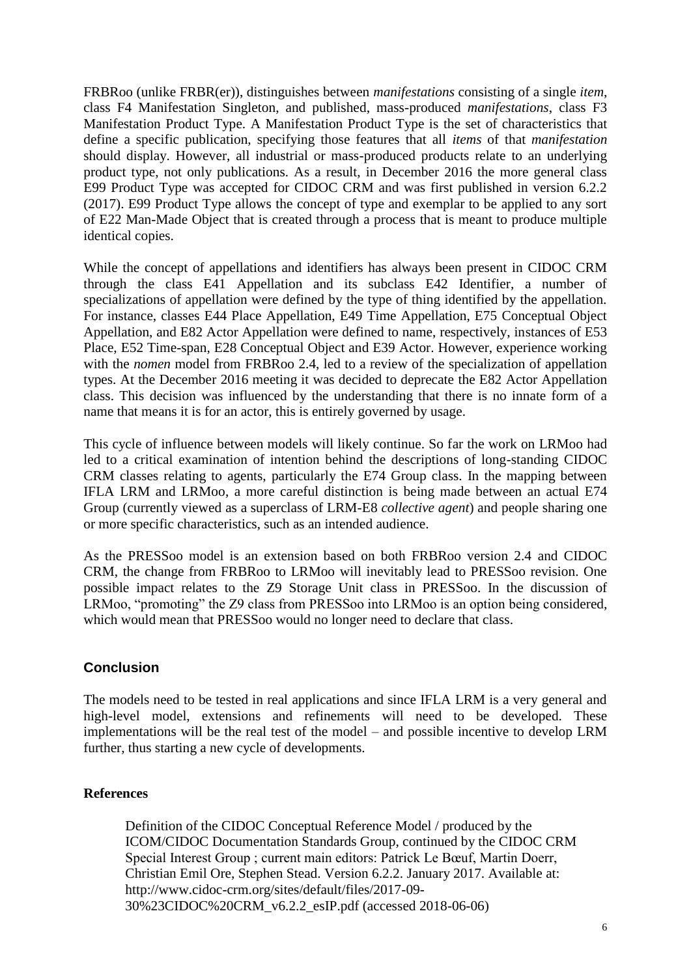FRBRoo (unlike FRBR(er)), distinguishes between *manifestations* consisting of a single *item*, class F4 Manifestation Singleton, and published, mass-produced *manifestations*, class F3 Manifestation Product Type. A Manifestation Product Type is the set of characteristics that define a specific publication, specifying those features that all *items* of that *manifestation* should display. However, all industrial or mass-produced products relate to an underlying product type, not only publications. As a result, in December 2016 the more general class E99 Product Type was accepted for CIDOC CRM and was first published in version 6.2.2 (2017). E99 Product Type allows the concept of type and exemplar to be applied to any sort of E22 Man-Made Object that is created through a process that is meant to produce multiple identical copies.

While the concept of appellations and identifiers has always been present in CIDOC CRM through the class E41 Appellation and its subclass E42 Identifier, a number of specializations of appellation were defined by the type of thing identified by the appellation. For instance, classes E44 Place Appellation, E49 Time Appellation, E75 Conceptual Object Appellation, and E82 Actor Appellation were defined to name, respectively, instances of E53 Place, E52 Time-span, E28 Conceptual Object and E39 Actor. However, experience working with the *nomen* model from FRBR<sub>00</sub> 2.4, led to a review of the specialization of appellation types. At the December 2016 meeting it was decided to deprecate the E82 Actor Appellation class. This decision was influenced by the understanding that there is no innate form of a name that means it is for an actor, this is entirely governed by usage.

This cycle of influence between models will likely continue. So far the work on LRMoo had led to a critical examination of intention behind the descriptions of long-standing CIDOC CRM classes relating to agents, particularly the E74 Group class. In the mapping between IFLA LRM and LRMoo, a more careful distinction is being made between an actual E74 Group (currently viewed as a superclass of LRM-E8 *collective agent*) and people sharing one or more specific characteristics, such as an intended audience.

As the PRESSoo model is an extension based on both FRBRoo version 2.4 and CIDOC CRM, the change from FRBRoo to LRMoo will inevitably lead to PRESSoo revision. One possible impact relates to the Z9 Storage Unit class in PRESSoo. In the discussion of LRMoo, "promoting" the Z9 class from PRESSoo into LRMoo is an option being considered, which would mean that PRESSoo would no longer need to declare that class.

## **Conclusion**

The models need to be tested in real applications and since IFLA LRM is a very general and high-level model, extensions and refinements will need to be developed. These implementations will be the real test of the model – and possible incentive to develop LRM further, thus starting a new cycle of developments.

## **References**

Definition of the CIDOC Conceptual Reference Model / produced by the ICOM/CIDOC Documentation Standards Group, continued by the CIDOC CRM Special Interest Group ; current main editors: Patrick Le Bœuf, Martin Doerr, Christian Emil Ore, Stephen Stead. Version 6.2.2. January 2017. Available at: http://www.cidoc-crm.org/sites/default/files/2017-09- 30%23CIDOC%20CRM\_v6.2.2\_esIP.pdf (accessed 2018-06-06)